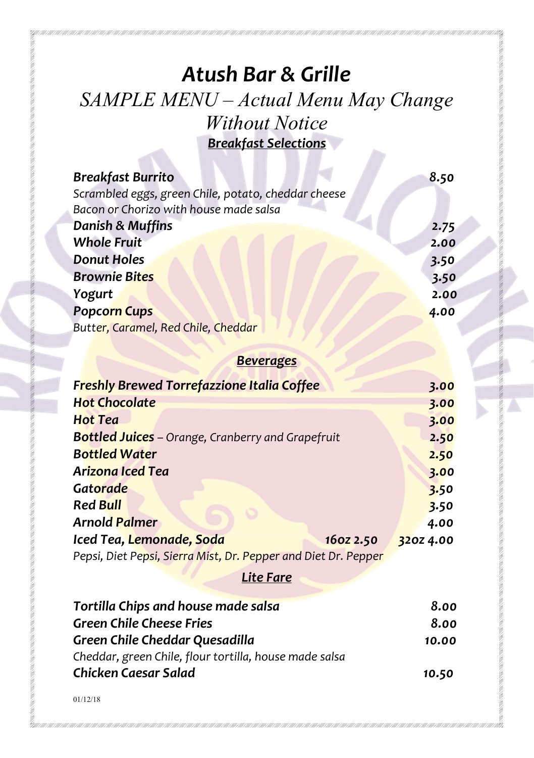# Atush Bar & Grille SAMPLE MENU – Actual Menu May Change Without Notice Breakfast Selections

| <b>Breakfast Burrito</b>                            | 8.50 |
|-----------------------------------------------------|------|
| Scrambled eggs, green Chile, potato, cheddar cheese |      |
| Bacon or Chorizo with house made salsa              |      |
| <b>Danish &amp; Muffins</b>                         | 2.75 |
| <b>Whole Fruit</b>                                  | 2.00 |
| <b>Donut Holes</b>                                  | 3.50 |
| <b>Brownie Bites</b>                                | 3.50 |
| <b>Yogurt</b>                                       | 2.00 |
| <b>Popcorn Cups</b>                                 | 4.00 |
| Butter, Caramel, Red Chile, Cheddar                 |      |

## **Beverages**

| <b>Freshly Brewed Torrefazzione Italia Coffee</b>              |           |
|----------------------------------------------------------------|-----------|
|                                                                | 3.00      |
| <b>Hot Chocolate</b>                                           | 3.00      |
| Hot Tea                                                        | 3.00      |
| <b>Bottled Juices</b> – Orange, Cranberry and Grapefruit       | 2.50      |
| <b>Bottled Water</b>                                           | 2.50      |
| Arizona Iced Tea                                               | 3.00      |
| Gatorade                                                       | 3.50      |
| <b>Red Bull</b>                                                | 3.50      |
| <b>Arnold Palmer</b>                                           | 4.00      |
| Iced Tea, Lemonade, Soda<br>160Z 2.50                          | 320Z 4.00 |
| Pepsi, Diet Pepsi, Sierra Mist, Dr. Pepper and Diet Dr. Pepper |           |
| Lite Fare                                                      |           |

| Tortilla Chips and house made salsa                    | 8.00  |
|--------------------------------------------------------|-------|
| Green Chile Cheese Fries                               | 8.00  |
| Green Chile Cheddar Quesadilla                         | 10.00 |
| Cheddar, green Chile, flour tortilla, house made salsa |       |
| Chicken Caesar Salad                                   | 10.50 |

01/12/18

ill h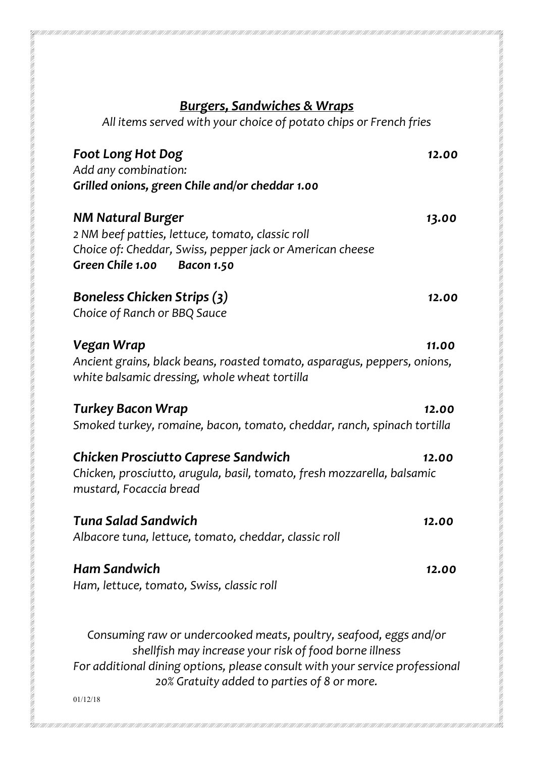# Burgers, Sandwiches & Wraps

M

All items served with your choice of potato chips or French fries

| <b>Foot Long Hot Dog</b><br>Add any combination:<br>Grilled onions, green Chile and/or cheddar 1.00                                                                                | 12.00 |
|------------------------------------------------------------------------------------------------------------------------------------------------------------------------------------|-------|
| <b>NM Natural Burger</b><br>2 NM beef patties, lettuce, tomato, classic roll<br>Choice of: Cheddar, Swiss, pepper jack or American cheese<br>Green Chile 1.00<br><b>Bacon 1.50</b> | 13.00 |
| <b>Boneless Chicken Strips (3)</b><br>Choice of Ranch or BBQ Sauce                                                                                                                 | 12.00 |
| Vegan Wrap<br>Ancient grains, black beans, roasted tomato, asparagus, peppers, onions,<br>white balsamic dressing, whole wheat tortilla                                            | 11.00 |
| <b>Turkey Bacon Wrap</b><br>Smoked turkey, romaine, bacon, tomato, cheddar, ranch, spinach tortilla                                                                                | 12.00 |
| <b>Chicken Prosciutto Caprese Sandwich</b><br>Chicken, prosciutto, arugula, basil, tomato, fresh mozzarella, balsamic<br>mustard, Focaccia bread                                   | 12.00 |
| Tuna Salad Sandwich<br>Albacore tuna, lettuce, tomato, cheddar, classic roll                                                                                                       | 12.00 |
| <b>Ham Sandwich</b><br>Ham, lettuce, tomato, Swiss, classic roll                                                                                                                   | 12.00 |
| Consuming raw or undercooked meats, poultry, seafood, eggs and/or                                                                                                                  |       |

shellfish may increase your risk of food borne illness For additional dining options, please consult with your service professional 20% Gratuity added to parties of 8 or more.

01/12/18

**REACTED AND ARRANGEMENT CONTROL**